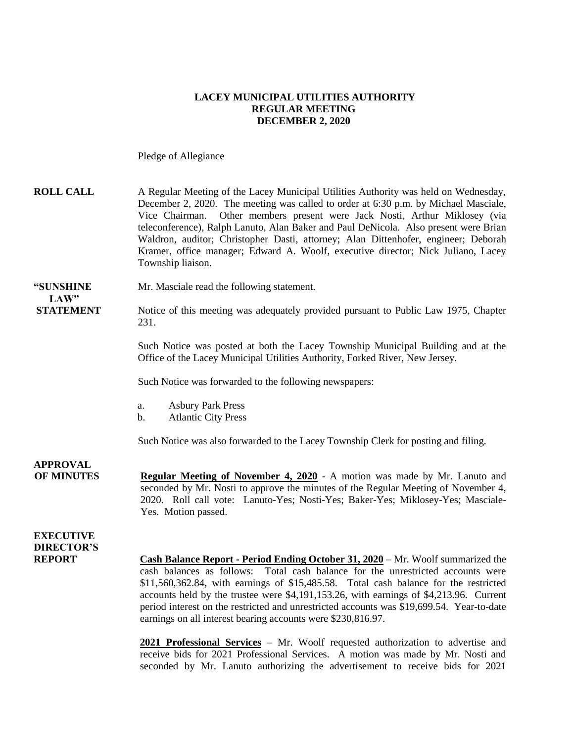### **LACEY MUNICIPAL UTILITIES AUTHORITY REGULAR MEETING DECEMBER 2, 2020**

Pledge of Allegiance

| <b>ROLL CALL</b>                                       | A Regular Meeting of the Lacey Municipal Utilities Authority was held on Wednesday,<br>December 2, 2020. The meeting was called to order at 6:30 p.m. by Michael Masciale,<br>Other members present were Jack Nosti, Arthur Miklosey (via<br>Vice Chairman.<br>teleconference), Ralph Lanuto, Alan Baker and Paul DeNicola. Also present were Brian<br>Waldron, auditor; Christopher Dasti, attorney; Alan Dittenhofer, engineer; Deborah<br>Kramer, office manager; Edward A. Woolf, executive director; Nick Juliano, Lacey<br>Township liaison. |
|--------------------------------------------------------|----------------------------------------------------------------------------------------------------------------------------------------------------------------------------------------------------------------------------------------------------------------------------------------------------------------------------------------------------------------------------------------------------------------------------------------------------------------------------------------------------------------------------------------------------|
| "SUNSHINE                                              | Mr. Masciale read the following statement.                                                                                                                                                                                                                                                                                                                                                                                                                                                                                                         |
| LAW"<br><b>STATEMENT</b>                               | Notice of this meeting was adequately provided pursuant to Public Law 1975, Chapter<br>231.                                                                                                                                                                                                                                                                                                                                                                                                                                                        |
|                                                        | Such Notice was posted at both the Lacey Township Municipal Building and at the<br>Office of the Lacey Municipal Utilities Authority, Forked River, New Jersey.                                                                                                                                                                                                                                                                                                                                                                                    |
|                                                        | Such Notice was forwarded to the following newspapers:                                                                                                                                                                                                                                                                                                                                                                                                                                                                                             |
|                                                        | <b>Asbury Park Press</b><br>a.<br><b>Atlantic City Press</b><br>b.                                                                                                                                                                                                                                                                                                                                                                                                                                                                                 |
|                                                        | Such Notice was also forwarded to the Lacey Township Clerk for posting and filing.                                                                                                                                                                                                                                                                                                                                                                                                                                                                 |
| <b>APPROVAL</b><br><b>OF MINUTES</b>                   | <b>Regular Meeting of November 4, 2020</b> - A motion was made by Mr. Lanuto and<br>seconded by Mr. Nosti to approve the minutes of the Regular Meeting of November 4,<br>2020. Roll call vote: Lanuto-Yes; Nosti-Yes; Baker-Yes; Miklosey-Yes; Masciale-<br>Yes. Motion passed.                                                                                                                                                                                                                                                                   |
| <b>EXECUTIVE</b><br><b>DIRECTOR'S</b><br><b>REPORT</b> | <b>Cash Balance Report - Period Ending October 31, 2020</b> – Mr. Woolf summarized the<br>Total cash balance for the unrestricted accounts were<br>cash balances as follows:<br>$$11,560,362.84$ , with earnings of $$15,485.58$ . Total cash balance for the restricted                                                                                                                                                                                                                                                                           |

earnings on all interest bearing accounts were \$230,816.97.

**2021 Professional Services** – Mr. Woolf requested authorization to advertise and receive bids for 2021 Professional Services. A motion was made by Mr. Nosti and seconded by Mr. Lanuto authorizing the advertisement to receive bids for 2021

accounts held by the trustee were \$4,191,153.26, with earnings of \$4,213.96. Current period interest on the restricted and unrestricted accounts was \$19,699.54. Year-to-date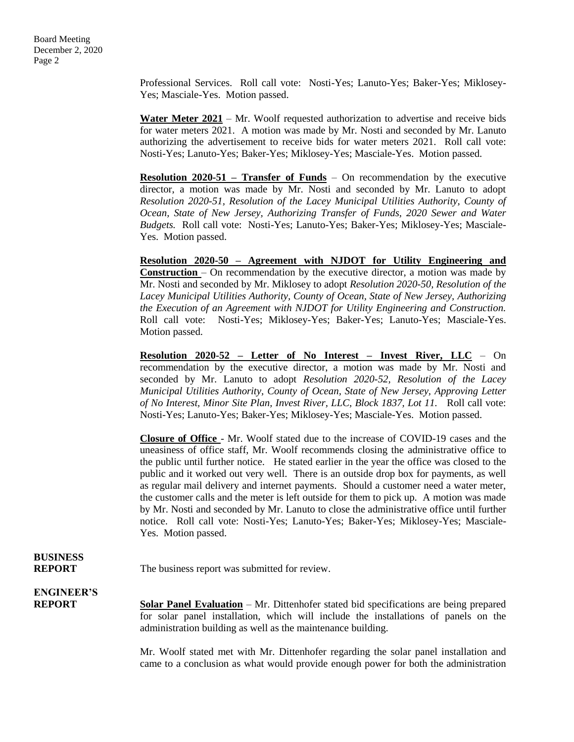Professional Services. Roll call vote: Nosti-Yes; Lanuto-Yes; Baker-Yes; Miklosey-Yes; Masciale-Yes. Motion passed.

**Water Meter 2021** – Mr. Woolf requested authorization to advertise and receive bids for water meters 2021. A motion was made by Mr. Nosti and seconded by Mr. Lanuto authorizing the advertisement to receive bids for water meters 2021. Roll call vote: Nosti-Yes; Lanuto-Yes; Baker-Yes; Miklosey-Yes; Masciale-Yes. Motion passed.

**Resolution 2020-51 – Transfer of Funds** – On recommendation by the executive director, a motion was made by Mr. Nosti and seconded by Mr. Lanuto to adopt *Resolution 2020-51, Resolution of the Lacey Municipal Utilities Authority, County of Ocean, State of New Jersey, Authorizing Transfer of Funds, 2020 Sewer and Water Budgets.* Roll call vote: Nosti-Yes; Lanuto-Yes; Baker-Yes; Miklosey-Yes; Masciale-Yes. Motion passed.

**Resolution 2020-50 – Agreement with NJDOT for Utility Engineering and Construction** – On recommendation by the executive director, a motion was made by Mr. Nosti and seconded by Mr. Miklosey to adopt *Resolution 2020-50, Resolution of the Lacey Municipal Utilities Authority, County of Ocean, State of New Jersey, Authorizing the Execution of an Agreement with NJDOT for Utility Engineering and Construction.*  Roll call vote: Nosti-Yes; Miklosey-Yes; Baker-Yes; Lanuto-Yes; Masciale-Yes. Motion passed.

**Resolution 2020-52 – Letter of No Interest – Invest River, LLC** – On recommendation by the executive director, a motion was made by Mr. Nosti and seconded by Mr. Lanuto to adopt *Resolution 2020-52, Resolution of the Lacey Municipal Utilities Authority, County of Ocean, State of New Jersey, Approving Letter of No Interest, Minor Site Plan, Invest River, LLC, Block 1837, Lot 11.* Roll call vote: Nosti-Yes; Lanuto-Yes; Baker-Yes; Miklosey-Yes; Masciale-Yes. Motion passed.

**Closure of Office** - Mr. Woolf stated due to the increase of COVID-19 cases and the uneasiness of office staff, Mr. Woolf recommends closing the administrative office to the public until further notice. He stated earlier in the year the office was closed to the public and it worked out very well. There is an outside drop box for payments, as well as regular mail delivery and internet payments. Should a customer need a water meter, the customer calls and the meter is left outside for them to pick up. A motion was made by Mr. Nosti and seconded by Mr. Lanuto to close the administrative office until further notice. Roll call vote: Nosti-Yes; Lanuto-Yes; Baker-Yes; Miklosey-Yes; Masciale-Yes. Motion passed.

**REPORT** The business report was submitted for review.

**ENGINEER'S**

**BUSINESS**

**REPORT Solar Panel Evaluation** – Mr. Dittenhofer stated bid specifications are being prepared for solar panel installation, which will include the installations of panels on the administration building as well as the maintenance building.

> Mr. Woolf stated met with Mr. Dittenhofer regarding the solar panel installation and came to a conclusion as what would provide enough power for both the administration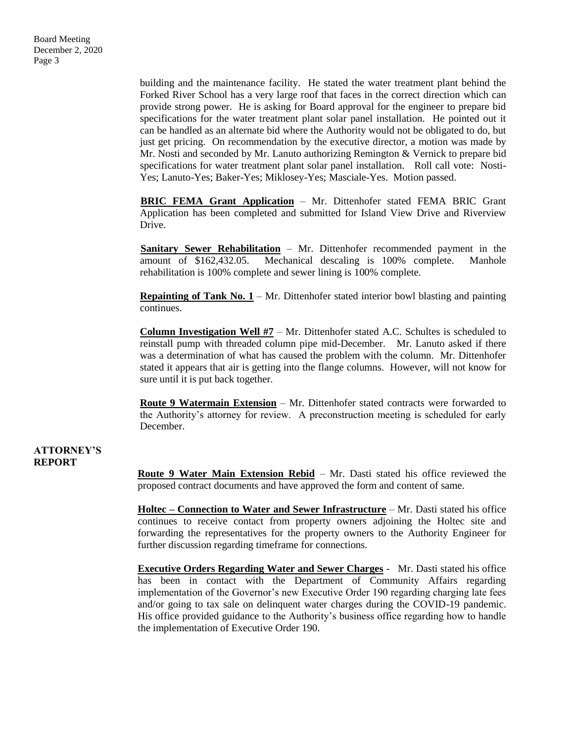building and the maintenance facility. He stated the water treatment plant behind the Forked River School has a very large roof that faces in the correct direction which can provide strong power. He is asking for Board approval for the engineer to prepare bid specifications for the water treatment plant solar panel installation. He pointed out it can be handled as an alternate bid where the Authority would not be obligated to do, but just get pricing. On recommendation by the executive director, a motion was made by Mr. Nosti and seconded by Mr. Lanuto authorizing Remington & Vernick to prepare bid specifications for water treatment plant solar panel installation. Roll call vote: Nosti-Yes; Lanuto-Yes; Baker-Yes; Miklosey-Yes; Masciale-Yes. Motion passed.

**BRIC FEMA Grant Application** – Mr. Dittenhofer stated FEMA BRIC Grant Application has been completed and submitted for Island View Drive and Riverview Drive.

**Sanitary Sewer Rehabilitation** – Mr. Dittenhofer recommended payment in the amount of \$162,432.05. Mechanical descaling is 100% complete. Manhole rehabilitation is 100% complete and sewer lining is 100% complete.

**Repainting of Tank No.**  $1 - Mr$ **.** Dittenhofer stated interior bowl blasting and painting continues.

**Column Investigation Well #7** – Mr. Dittenhofer stated A.C. Schultes is scheduled to reinstall pump with threaded column pipe mid-December. Mr. Lanuto asked if there was a determination of what has caused the problem with the column. Mr. Dittenhofer stated it appears that air is getting into the flange columns. However, will not know for sure until it is put back together.

**Route 9 Watermain Extension** – Mr. Dittenhofer stated contracts were forwarded to the Authority's attorney for review. A preconstruction meeting is scheduled for early December.

### **ATTORNEY'S REPORT**

**Route 9 Water Main Extension Rebid** – Mr. Dasti stated his office reviewed the proposed contract documents and have approved the form and content of same.

**Holtec – Connection to Water and Sewer Infrastructure** – Mr. Dasti stated his office continues to receive contact from property owners adjoining the Holtec site and forwarding the representatives for the property owners to the Authority Engineer for further discussion regarding timeframe for connections.

**Executive Orders Regarding Water and Sewer Charges** - Mr. Dasti stated his office has been in contact with the Department of Community Affairs regarding implementation of the Governor's new Executive Order 190 regarding charging late fees and/or going to tax sale on delinquent water charges during the COVID-19 pandemic. His office provided guidance to the Authority's business office regarding how to handle the implementation of Executive Order 190.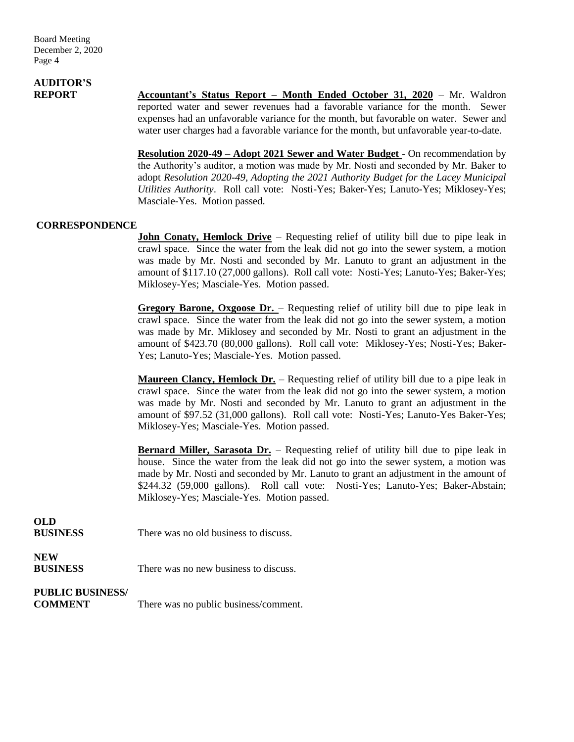Board Meeting December 2, 2020 Page 4

# **AUDITOR'S**

**REPORT Accountant's Status Report – Month Ended October 31, 2020** – Mr. Waldron reported water and sewer revenues had a favorable variance for the month. Sewer expenses had an unfavorable variance for the month, but favorable on water. Sewer and water user charges had a favorable variance for the month, but unfavorable year-to-date.

> **Resolution 2020-49 – Adopt 2021 Sewer and Water Budget** - On recommendation by the Authority's auditor, a motion was made by Mr. Nosti and seconded by Mr. Baker to adopt *Resolution 2020-49, Adopting the 2021 Authority Budget for the Lacey Municipal Utilities Authority*. Roll call vote: Nosti-Yes; Baker-Yes; Lanuto-Yes; Miklosey-Yes; Masciale-Yes. Motion passed.

### **CORRESPONDENCE**

**John Conaty, Hemlock Drive** – Requesting relief of utility bill due to pipe leak in crawl space. Since the water from the leak did not go into the sewer system, a motion was made by Mr. Nosti and seconded by Mr. Lanuto to grant an adjustment in the amount of \$117.10 (27,000 gallons). Roll call vote: Nosti-Yes; Lanuto-Yes; Baker-Yes; Miklosey-Yes; Masciale-Yes. Motion passed.

**Gregory Barone, Oxgoose Dr.** – Requesting relief of utility bill due to pipe leak in crawl space. Since the water from the leak did not go into the sewer system, a motion was made by Mr. Miklosey and seconded by Mr. Nosti to grant an adjustment in the amount of \$423.70 (80,000 gallons). Roll call vote: Miklosey-Yes; Nosti-Yes; Baker-Yes; Lanuto-Yes; Masciale-Yes. Motion passed.

**Maureen Clancy, Hemlock Dr.** – Requesting relief of utility bill due to a pipe leak in crawl space. Since the water from the leak did not go into the sewer system, a motion was made by Mr. Nosti and seconded by Mr. Lanuto to grant an adjustment in the amount of \$97.52 (31,000 gallons). Roll call vote: Nosti-Yes; Lanuto-Yes Baker-Yes; Miklosey-Yes; Masciale-Yes. Motion passed.

**Bernard Miller, Sarasota Dr.** – Requesting relief of utility bill due to pipe leak in house. Since the water from the leak did not go into the sewer system, a motion was made by Mr. Nosti and seconded by Mr. Lanuto to grant an adjustment in the amount of \$244.32 (59,000 gallons). Roll call vote: Nosti-Yes; Lanuto-Yes; Baker-Abstain; Miklosey-Yes; Masciale-Yes. Motion passed.

## **OLD**

**BUSINESS** There was no old business to discuss.

### **NEW**

**BUSINESS** There was no new business to discuss.

### **PUBLIC BUSINESS/**

**COMMENT** There was no public business/comment.